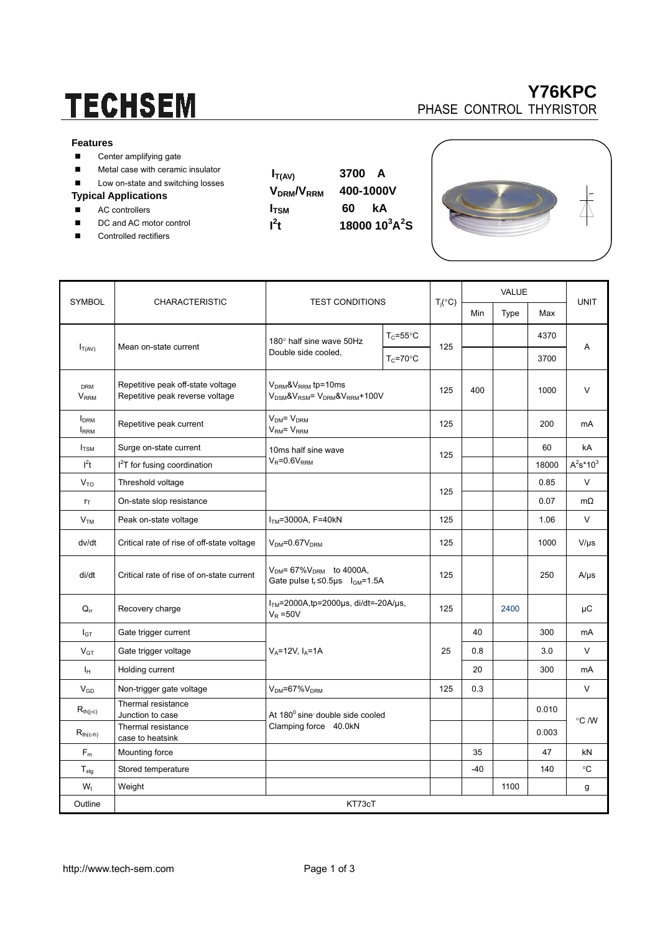# **TECHSEM**

#### **Features**

- Center amplifying gate
- **Metal case with ceramic insulator**
- Low on-state and switching losses

#### **Typical Applications**

- AC controllers
- DC and AC motor control
- Controlled rectifiers
- $\mathbf{I}^2$
- $I_{T(AV)}$  3700 A **VDRM/VRRM 400-1000V I**<sub>TSM</sub> 60 **kA**  $4$ **18000 10<sup>3</sup>A<sup>2</sup>S**





| <b>SYMBOL</b>                          | <b>CHARACTERISTIC</b>                                                | <b>TEST CONDITIONS</b>                                                             |                      | $T_i({}^\circ C)$ | <b>VALUE</b> |      |           |              |
|----------------------------------------|----------------------------------------------------------------------|------------------------------------------------------------------------------------|----------------------|-------------------|--------------|------|-----------|--------------|
|                                        |                                                                      |                                                                                    |                      |                   | Min          | Type | Max       | <b>UNIT</b>  |
| $I_{T(AV)}$                            | Mean on-state current                                                | 180° half sine wave 50Hz<br>Double side cooled.                                    | $T_c = 55^{\circ}$ C | 125               |              |      | 4370      | A            |
|                                        |                                                                      |                                                                                    | $T_c = 70$ °C        |                   |              |      | 3700      |              |
| <b>DRM</b><br><b>V<sub>RRM</sub></b>   | Repetitive peak off-state voltage<br>Repetitive peak reverse voltage | $VDRM$ & $VRRM$ tp=10ms<br>$V_{DSM}$ & $V_{RSM}$ = $V_{DRM}$ & $V_{RRM}$ +100V     |                      | 125               | 400          |      | 1000      | $\vee$       |
| <b>I</b> <sub>DRM</sub><br><b>IRRM</b> | Repetitive peak current                                              | $V_{DM} = V_{DRM}$<br>V <sub>RM</sub> = V <sub>RRM</sub>                           |                      | 125               |              |      | 200       | mA           |
| $I_{TSM}$                              | Surge on-state current                                               | 10ms half sine wave<br>$V_R = 0.6V_{RRM}$                                          |                      | 125               |              |      | 60        | kA           |
| l <sup>2</sup> t                       | $I2T$ for fusing coordination                                        |                                                                                    |                      |                   |              |      | 18000     | $A^2s^*10^3$ |
| V <sub>TO</sub>                        | Threshold voltage                                                    |                                                                                    | 125                  |                   |              | 0.85 | $\vee$    |              |
| $r_{\text{T}}$                         | On-state slop resistance                                             |                                                                                    |                      |                   |              | 0.07 | $m\Omega$ |              |
| V <sub>TM</sub>                        | Peak on-state voltage                                                | $ITM=3000A, F=40kN$                                                                |                      | 125               |              |      | 1.06      | $\vee$       |
| dv/dt                                  | Critical rate of rise of off-state voltage                           | $VDM=0.67VDRM$                                                                     |                      | 125               |              |      | 1000      | $V/\mu s$    |
| di/dt                                  | Critical rate of rise of on-state current                            | $V_{DM}$ = 67% $V_{DRM}$ to 4000A,<br>Gate pulse $t_r \le 0.5$ us $I_{GM} = 1.5$ A |                      | 125               |              |      | 250       | $A/\mu s$    |
| $Q_{rr}$                               | Recovery charge                                                      | $ITM=2000A$ , tp=2000µs, di/dt=-20A/µs,<br>$V_R = 50V$                             |                      | 125               |              | 2400 |           | μC           |
| $I_{GT}$                               | Gate trigger current                                                 | $V_A = 12V$ , $I_A = 1A$                                                           |                      |                   | 40           |      | 300       | mA           |
| $V_{GT}$                               | Gate trigger voltage                                                 |                                                                                    |                      | 25                | 0.8          |      | 3.0       | $\vee$       |
| Iн                                     | Holding current                                                      |                                                                                    |                      |                   | 20           |      | 300       | mA           |
| <b>V<sub>GD</sub></b>                  | Non-trigger gate voltage                                             | $VDM=67%VDRM$                                                                      |                      | 125               | 0.3          |      |           | $\vee$       |
| $R_{th(j-c)}$                          | Thermal resistance<br>Junction to case                               | At 180° sine double side cooled<br>Clamping force 40.0kN                           |                      |                   |              |      | 0.010     | °C /W        |
| $R_{th(c-h)}$                          | Thermal resistance<br>case to heatsink                               |                                                                                    |                      |                   |              |      | 0.003     |              |
| $F_m$                                  | Mounting force                                                       |                                                                                    |                      |                   | 35           |      | 47        | kN           |
| $T_{\text{stq}}$                       | Stored temperature                                                   |                                                                                    |                      |                   | $-40$        |      | 140       | $^{\circ}C$  |
| $W_t$                                  | Weight                                                               |                                                                                    |                      |                   |              | 1100 |           | g            |
| Outline                                | KT73cT                                                               |                                                                                    |                      |                   |              |      |           |              |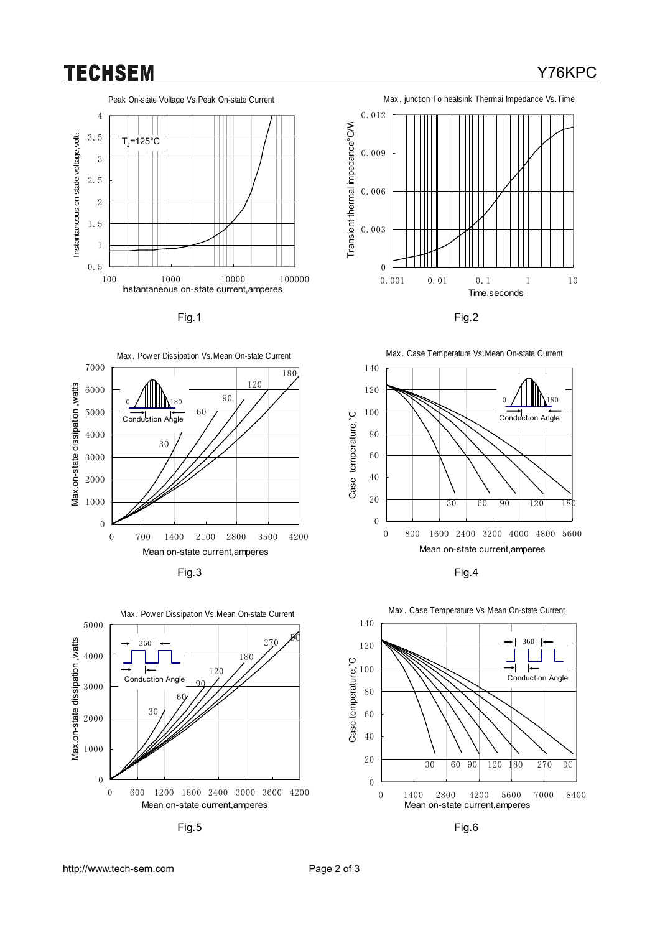### **TECHSEM**

Y76KPC









Fig.5 Fig.6